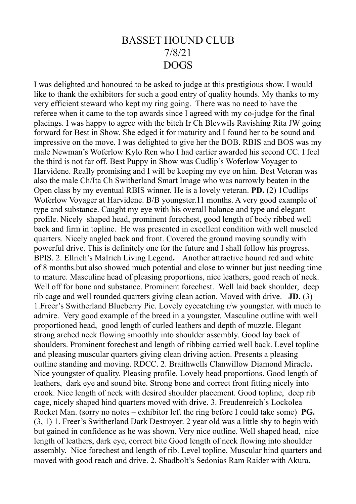## BASSET HOUND CLUB 7/8/21 DOGS

I was delighted and honoured to be asked to judge at this prestigious show. I would like to thank the exhibitors for such a good entry of quality hounds. My thanks to my very efficient steward who kept my ring going. There was no need to have the referee when it came to the top awards since I agreed with my co-judge for the final placings. I was happy to agree with the bitch Ir Ch Blevwils Ravishing Rita JW going forward for Best in Show. She edged it for maturity and I found her to be sound and impressive on the move. I was delighted to give her the BOB. RBIS and BOS was my male Newman's Woferlow Kylo Ren who I had earlier awarded his second CC. I feel the third is not far off. Best Puppy in Show was Cudlip's Woferlow Voyager to Harvidene. Really promising and I will be keeping my eye on him. Best Veteran was also the male Ch/Ita Ch Switherland Smart Image who was narrowly beaten in the Open class by my eventual RBIS winner. He is a lovely veteran. **PD.** (2) 1Cudlips Woferlow Voyager at Harvidene. B/B youngster.11 months. A very good example of type and substance. Caught my eye with his overall balance and type and elegant profile. Nicely shaped head, prominent forechest, good length of body ribbed well back and firm in topline. He was presented in excellent condition with well muscled quarters. Nicely angled back and front. Covered the ground moving soundly with powerful drive. This is definitely one for the future and I shall follow his progress. BPIS. 2. Ellrich's Malrich Living Legend**.** Another attractive hound red and white of 8 months.but also showed much potential and close to winner but just needing time to mature. Masculine head of pleasing proportions, nice leathers, good reach of neck. Well off for bone and substance. Prominent forechest. Well laid back shoulder, deep rib cage and well rounded quarters giving clean action. Moved with drive. **JD.** (3) 1.Freer's Switherland Blueberry Pie. Lovely eyecatching r/w youngster. with much to admire. Very good example of the breed in a youngster. Masculine outline with well proportioned head, good length of curled leathers and depth of muzzle. Elegant strong arched neck flowing smoothly into shoulder assembly. Good lay back of shoulders. Prominent forechest and length of ribbing carried well back. Level topline and pleasing muscular quarters giving clean driving action. Presents a pleasing outline standing and moving. RDCC. 2. Braithwells Clanwillow Diamond Miracle**.**  Nice youngster of quality. Pleasing profile. Lovely head proportions. Good length of leathers, dark eye and sound bite. Strong bone and correct front fitting nicely into crook. Nice length of neck with desired shoulder placement. Good topline, deep rib cage, nicely shaped hind quarters moved with drive. 3. Freudenreich's Lockolea Rocket Man. (sorry no notes – exhibitor left the ring before I could take some) **PG.**  (3, 1) 1. Freer's Switherland Dark Destroyer. 2 year old was a little shy to begin with but gained in confidence as he was shown. Very nice outline. Well shaped head, nice length of leathers, dark eye, correct bite Good length of neck flowing into shoulder assembly. Nice forechest and length of rib. Level topline. Muscular hind quarters and moved with good reach and drive. 2. Shadbolt's Sedonias Ram Raider with Akura.